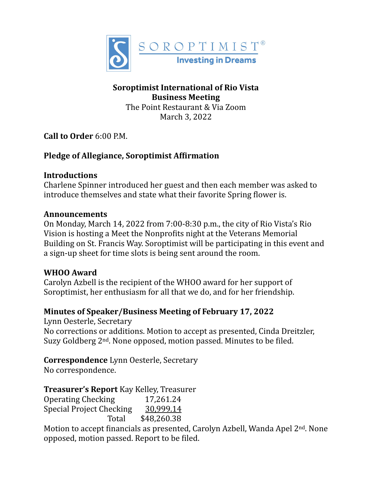

## **Soroptimist International of Rio Vista Business Meeting**

The Point Restaurant & Via Zoom March 3, 2022

**Call to Order** 6:00 P.M.

# **Pledge of Allegiance, Soroptimist Affirmation**

#### **Introductions**

Charlene Spinner introduced her guest and then each member was asked to introduce themselves and state what their favorite Spring flower is.

#### **Announcements**

On Monday, March 14, 2022 from 7:00-8:30 p.m., the city of Rio Vista's Rio Vision is hosting a Meet the Nonprofits night at the Veterans Memorial Building on St. Francis Way. Soroptimist will be participating in this event and a sign-up sheet for time slots is being sent around the room.

## **WHOO Award**

Carolyn Azbell is the recipient of the WHOO award for her support of Soroptimist, her enthusiasm for all that we do, and for her friendship.

## Minutes of Speaker/Business Meeting of February 17, 2022

Lynn Oesterle, Secretary No corrections or additions. Motion to accept as presented, Cinda Dreitzler, Suzy Goldberg  $2<sup>nd</sup>$ . None opposed, motion passed. Minutes to be filed.

**Correspondence** Lynn Oesterle, Secretary

No correspondence.

**Treasurer's Report** Kay Kelley, Treasurer

Operating Checking 17,261.24 Special Project Checking  $\frac{30,999}{14}$ Total \$48,260.38

Motion to accept financials as presented, Carolyn Azbell, Wanda Apel 2<sup>nd</sup>. None opposed, motion passed. Report to be filed.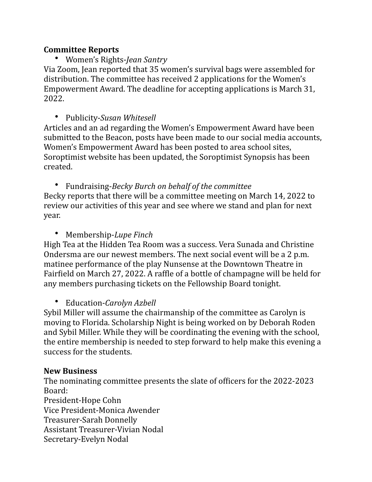#### **Committee Reports**

• Women's Rights-*Jean Santry*

Via Zoom, Jean reported that 35 women's survival bags were assembled for distribution. The committee has received 2 applications for the Women's Empowerment Award. The deadline for accepting applications is March 31, 2022.

• Publicity-*Susan Whitesell*

Articles and an ad regarding the Women's Empowerment Award have been submitted to the Beacon, posts have been made to our social media accounts, Women's Empowerment Award has been posted to area school sites, Soroptimist website has been updated, the Soroptimist Synopsis has been created.

• Fundraising-*Becky Burch on behalf of the committee* Becky reports that there will be a committee meeting on March 14, 2022 to review our activities of this year and see where we stand and plan for next year.

• Membership-Lupe Finch

High Tea at the Hidden Tea Room was a success. Vera Sunada and Christine Ondersma are our newest members. The next social event will be a 2 p.m. matinee performance of the play Nunsense at the Downtown Theatre in Fairfield on March 27, 2022. A raffle of a bottle of champagne will be held for any members purchasing tickets on the Fellowship Board tonight.

• Education-*Carolyn Azbell*

Sybil Miller will assume the chairmanship of the committee as Carolyn is moving to Florida. Scholarship Night is being worked on by Deborah Roden and Sybil Miller. While they will be coordinating the evening with the school, the entire membership is needed to step forward to help make this evening a success for the students.

## **New Business**

The nominating committee presents the slate of officers for the 2022-2023 Board: President-Hope Cohn

Vice President-Monica Awender

Treasurer-Sarah Donnelly

Assistant Treasurer-Vivian Nodal

Secretary-Evelyn Nodal